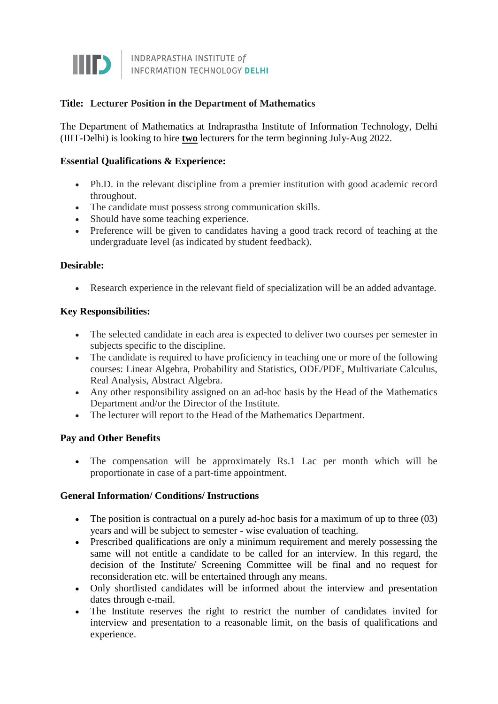

## **Title: Lecturer Position in the Department of Mathematics**

The Department of Mathematics at Indraprastha Institute of Information Technology, Delhi (IIIT-Delhi) is looking to hire **two** lecturers for the term beginning July-Aug 2022.

## **Essential Qualifications & Experience:**

- Ph.D. in the relevant discipline from a premier institution with good academic record throughout.
- The candidate must possess strong communication skills.
- Should have some teaching experience.
- Preference will be given to candidates having a good track record of teaching at the undergraduate level (as indicated by student feedback).

## **Desirable:**

Research experience in the relevant field of specialization will be an added advantage.

#### **Key Responsibilities:**

- The selected candidate in each area is expected to deliver two courses per semester in subjects specific to the discipline.
- The candidate is required to have proficiency in teaching one or more of the following courses: Linear Algebra, Probability and Statistics, ODE/PDE, Multivariate Calculus, Real Analysis, Abstract Algebra.
- Any other responsibility assigned on an ad-hoc basis by the Head of the Mathematics Department and/or the Director of the Institute.
- The lecturer will report to the Head of the Mathematics Department.

#### **Pay and Other Benefits**

• The compensation will be approximately Rs.1 Lac per month which will be proportionate in case of a part-time appointment.

#### **General Information/ Conditions/ Instructions**

- $\bullet$  The position is contractual on a purely ad-hoc basis for a maximum of up to three (03) years and will be subject to semester - wise evaluation of teaching.
- Prescribed qualifications are only a minimum requirement and merely possessing the same will not entitle a candidate to be called for an interview. In this regard, the decision of the Institute/ Screening Committee will be final and no request for reconsideration etc. will be entertained through any means.
- Only shortlisted candidates will be informed about the interview and presentation dates through e-mail.
- The Institute reserves the right to restrict the number of candidates invited for interview and presentation to a reasonable limit, on the basis of qualifications and experience.